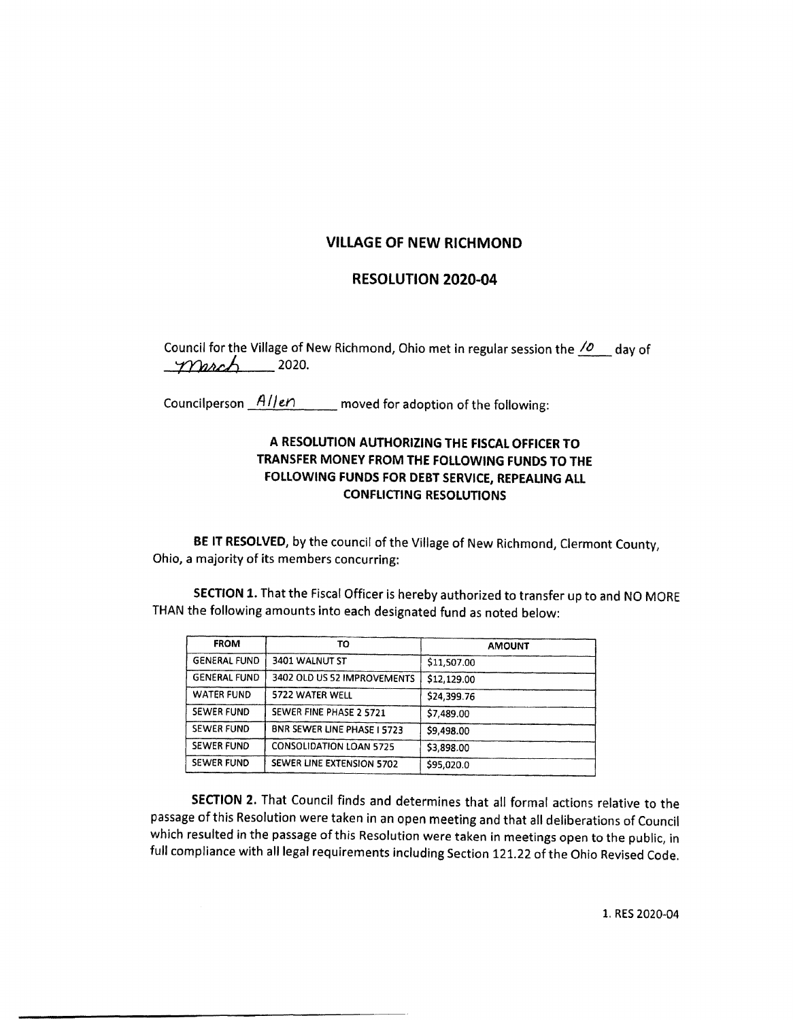## VILLAGE OF NEW RICHMOND

## RESOLUTION 2020-04

Council for the Village of New Richmond, Ohio met in regular session the  $\sqrt{\frac{2}{n}}$  day of  $mach$  2020.

Councilperson  $\frac{AIIen}{P}$  moved for adoption of the following:

## A RESOLUTION AUTHORIZING THE FISCAL OFFICER TO TRANSFER MONEY FROM THE FOLLOWING FUNDS TO THE FOLLOWING FUNDS FOR DEBT SERVICE, REPEALING ALL CONFLICTING RESOLUTIONS

BE IT RESOLVED, by the council of the Village of New Richmond, Clermont County, Ohio, a majority of its members concurring:

SECTION 1. That the Fiscal Officer is hereby authorized to transfer up to and NO MORE THAN the following amounts into each designated fund as noted below:

| <b>FROM</b>         | TO                             | <b>AMOUNT</b> |
|---------------------|--------------------------------|---------------|
| <b>GENERAL FUND</b> | 3401 WALNUT ST                 | \$11,507.00   |
| <b>GENERAL FUND</b> | 3402 OLD US 52 IMPROVEMENTS    | \$12,129.00   |
| <b>WATER FUND</b>   | 5722 WATER WELL                | \$24,399.76   |
| <b>SEWER FUND</b>   | SEWER FINE PHASE 2 5721        | \$7,489.00    |
| <b>SEWER FUND</b>   | BNR SEWER LINE PHASE I 5723    | \$9,498.00    |
| <b>SEWER FUND</b>   | <b>CONSOLIDATION LOAN 5725</b> | \$3,898.00    |
| <b>SEWER FUND</b>   | SEWER LINE EXTENSION 5702      | \$95,020.0    |

SECTION 2. That Council finds and determines that all formal actions relative to the passage of this Resolution were taken in an open meeting and that all deliberations of Council which resulted in the passage of this Resolution were taken in meetings open to the public, in full compliance with all legal requirements including Section 121. 22 of the Ohio Revised Code.

1. RES 2020-04